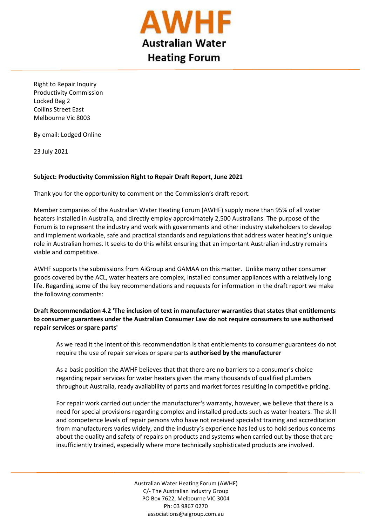

Right to Repair Inquiry Productivity Commission Locked Bag 2 Collins Street East Melbourne Vic 8003

By email: Lodged Online

23 July 2021

 $\overline{a}$ 

## **Subject: Productivity Commission Right to Repair Draft Report, June 2021**

Thank you for the opportunity to comment on the Commission's draft report.

Member companies of the Australian Water Heating Forum (AWHF) supply more than 95% of all water heaters installed in Australia, and directly employ approximately 2,500 Australians. The purpose of the Forum is to represent the industry and work with governments and other industry stakeholders to develop and implement workable, safe and practical standards and regulations that address water heating's unique role in Australian homes. It seeks to do this whilst ensuring that an important Australian industry remains viable and competitive.

AWHF supports the submissions from AiGroup and GAMAA on this matter. Unlike many other consumer goods covered by the ACL, water heaters are complex, installed consumer appliances with a relatively long life. Regarding some of the key recommendations and requests for information in the draft report we make the following comments:

**Draft Recommendation 4.2 'The inclusion of text in manufacturer warranties that states that entitlements to consumer guarantees under the Australian Consumer Law do not require consumers to use authorised repair services or spare parts'** 

As we read it the intent of this recommendation is that entitlements to consumer guarantees do not require the use of repair services or spare parts **authorised by the manufacturer**

As a basic position the AWHF believes that that there are no barriers to a consumer's choice regarding repair services for water heaters given the many thousands of qualified plumbers throughout Australia, ready availability of parts and market forces resulting in competitive pricing.

For repair work carried out under the manufacturer's warranty, however, we believe that there is a need for special provisions regarding complex and installed products such as water heaters. The skill and competence levels of repair persons who have not received specialist training and accreditation from manufacturers varies widely, and the industry's experience has led us to hold serious concerns about the quality and safety of repairs on products and systems when carried out by those that are insufficiently trained, especially where more technically sophisticated products are involved.

> Australian Water Heating Forum (AWHF) C/- The Australian Industry Group PO Box 7622, Melbourne VIC 3004 Ph: 03 9867 0270 associations@aigroup.com.au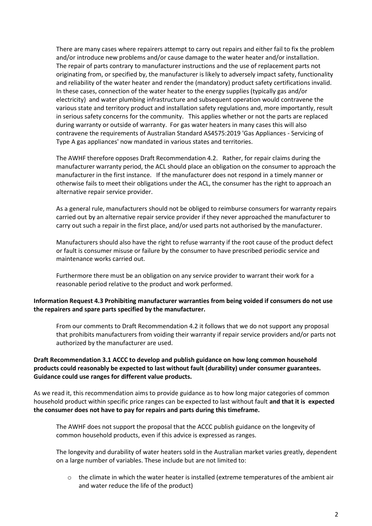There are many cases where repairers attempt to carry out repairs and either fail to fix the problem and/or introduce new problems and/or cause damage to the water heater and/or installation. The repair of parts contrary to manufacturer instructions and the use of replacement parts not originating from, or specified by, the manufacturer is likely to adversely impact safety, functionality and reliability of the water heater and render the (mandatory) product safety certifications invalid. In these cases, connection of the water heater to the energy supplies (typically gas and/or electricity) and water plumbing infrastructure and subsequent operation would contravene the various state and territory product and installation safety regulations and, more importantly, result in serious safety concerns for the community. This applies whether or not the parts are replaced during warranty or outside of warranty. For gas water heaters in many cases this will also contravene the requirements of Australian Standard AS4575:2019 'Gas Appliances - Servicing of Type A gas appliances' now mandated in various states and territories.

The AWHF therefore opposes Draft Recommendation 4.2. Rather, for repair claims during the manufacturer warranty period, the ACL should place an obligation on the consumer to approach the manufacturer in the first instance. If the manufacturer does not respond in a timely manner or otherwise fails to meet their obligations under the ACL, the consumer has the right to approach an alternative repair service provider.

As a general rule, manufacturers should not be obliged to reimburse consumers for warranty repairs carried out by an alternative repair service provider if they never approached the manufacturer to carry out such a repair in the first place, and/or used parts not authorised by the manufacturer.

Manufacturers should also have the right to refuse warranty if the root cause of the product defect or fault is consumer misuse or failure by the consumer to have prescribed periodic service and maintenance works carried out.

Furthermore there must be an obligation on any service provider to warrant their work for a reasonable period relative to the product and work performed.

## **Information Request 4.3 Prohibiting manufacturer warranties from being voided if consumers do not use the repairers and spare parts specified by the manufacturer.**

From our comments to Draft Recommendation 4.2 it follows that we do not support any proposal that prohibits manufacturers from voiding their warranty if repair service providers and/or parts not authorized by the manufacturer are used.

## **Draft Recommendation 3.1 ACCC to develop and publish guidance on how long common household products could reasonably be expected to last without fault (durability) under consumer guarantees. Guidance could use ranges for different value products.**

As we read it, this recommendation aims to provide guidance as to how long major categories of common household product within specific price ranges can be expected to last without fault **and that it is expected the consumer does not have to pay for repairs and parts during this timeframe.** 

The AWHF does not support the proposal that the ACCC publish guidance on the longevity of common household products, even if this advice is expressed as ranges.

The longevity and durability of water heaters sold in the Australian market varies greatly, dependent on a large number of variables. These include but are not limited to:

o the climate in which the water heater is installed (extreme temperatures of the ambient air and water reduce the life of the product)